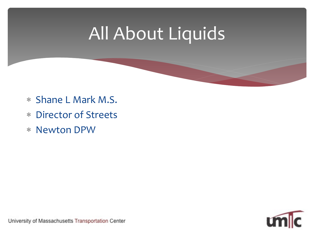## All About Liquids

- ∗ Shane L Mark M.S.
- ∗ Director of Streets
- ∗ Newton DPW

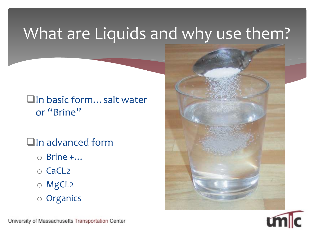### What are Liquids and why use them?

#### □In basic form... salt water or "Brine"

#### **QIn advanced form**

- $\circ$  Brine  $+...$
- o CaCL2
- o MgCL2
- o Organics



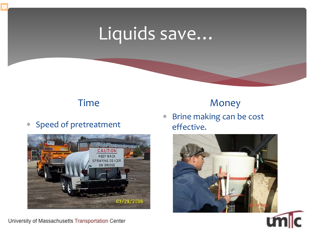## Liquids save…

#### Time

∗ Speed of pretreatment



University of Massachusetts Transportation Center

#### Money

∗ Brine making can be cost effective.

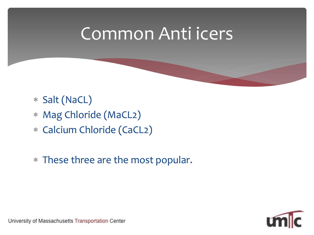### Common Anti icers

- ∗ Salt (NaCL)
- ∗ Mag Chloride (MaCL2)
- ∗ Calcium Chloride (CaCL2)
- ∗ These three are the most popular.

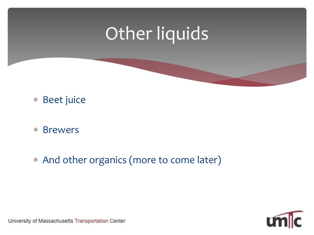## Other liquids

#### ∗ Beet juice

- ∗ Brewers
- ∗ And other organics (more to come later)

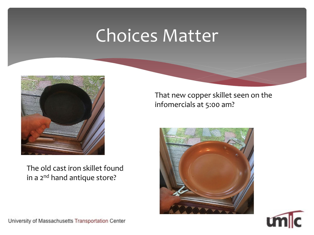### Choices Matter



The old cast iron skillet found in a 2<sup>nd</sup> hand antique store?

That new copper skillet seen on the infomercials at 5:00 am?



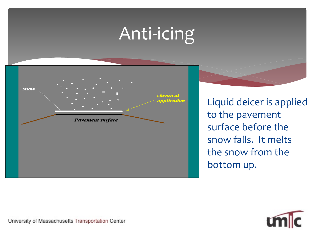# Anti-icing



Liquid deicer is applied to the pavement surface before the snow falls. It melts the snow from the bottom up.

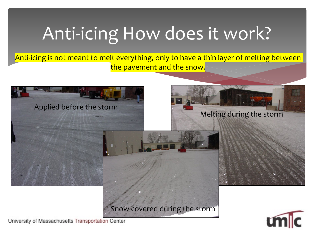# Anti-icing How does it work?

Anti-icing is not meant to melt everything, only to have a thin layer of melting between the pavement and the snow.



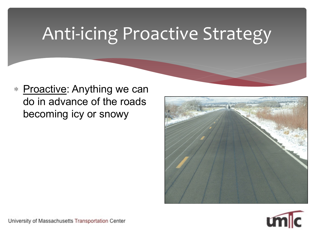# Anti-icing Proactive Strategy

∗ Proactive: Anything we can do in advance of the roads becoming icy or snowy



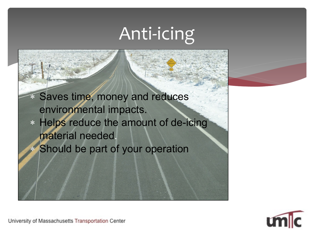# Anti-icing

∗ Saves time, money and reduces environmental impacts. ∗ Helps reduce the amount of de-icing material needed. Should be part of your operation

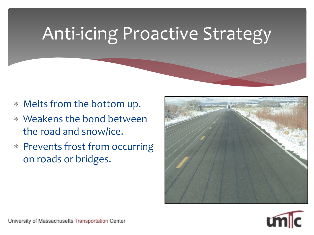# Anti-icing Proactive Strategy

- ∗ Melts from the bottom up.
- ∗ Weakens the bond between the road and snow/ice.
- ∗ Prevents frost from occurring on roads or bridges.



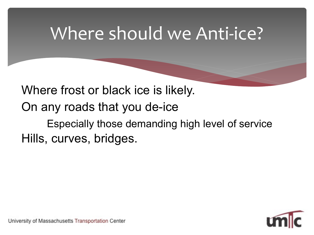### Where should we Anti-ice?

Where frost or black ice is likely. On any roads that you de-ice – Especially those demanding high level of service Hills, curves, bridges.